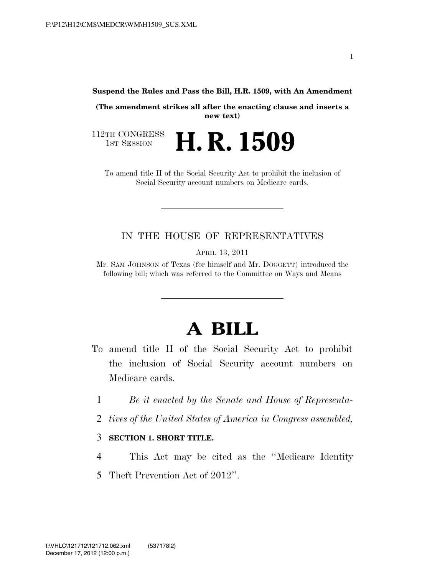**Suspend the Rules and Pass the Bill, H.R. 1509, with An Amendment** 

**(The amendment strikes all after the enacting clause and inserts a new text)** 

112TH CONGRESS<br>1st Session H. R. 1509

To amend title II of the Social Security Act to prohibit the inclusion of Social Security account numbers on Medicare cards.

### IN THE HOUSE OF REPRESENTATIVES

APRIL 13, 2011

Mr. SAM JOHNSON of Texas (for himself and Mr. DOGGETT) introduced the following bill; which was referred to the Committee on Ways and Means

# **A BILL**

- To amend title II of the Social Security Act to prohibit the inclusion of Social Security account numbers on Medicare cards.
	- 1 *Be it enacted by the Senate and House of Representa-*
	- 2 *tives of the United States of America in Congress assembled,*

#### 3 **SECTION 1. SHORT TITLE.**

4 This Act may be cited as the ''Medicare Identity 5 Theft Prevention Act of 2012''.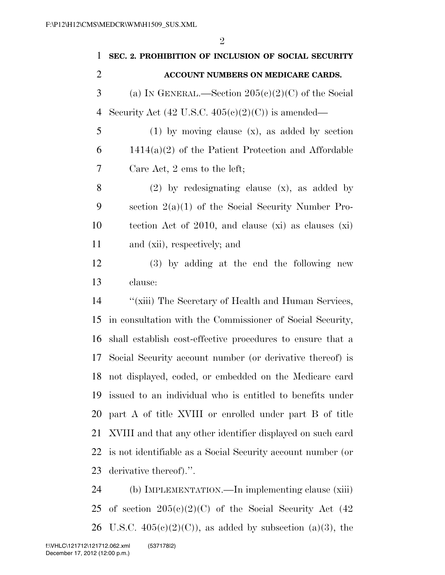| 1              | SEC. 2. PROHIBITION OF INCLUSION OF SOCIAL SECURITY                            |
|----------------|--------------------------------------------------------------------------------|
| $\overline{2}$ | ACCOUNT NUMBERS ON MEDICARE CARDS.                                             |
| 3              | (a) IN GENERAL.—Section $205(c)(2)(C)$ of the Social                           |
| $\overline{4}$ | Security Act $(42 \text{ U.S.C. } 405 \text{ (c)}(2) \text{ (C)})$ is amended— |
| 5              | $(1)$ by moving clause $(x)$ , as added by section                             |
| 6              | $1414(a)(2)$ of the Patient Protection and Affordable                          |
| 7              | Care Act, 2 ems to the left;                                                   |
| 8              | $(2)$ by redesignating clause $(x)$ , as added by                              |
| 9              | section $2(a)(1)$ of the Social Security Number Pro-                           |
| 10             | tection Act of 2010, and clause $(xi)$ as clauses $(xi)$                       |
| 11             | and (xii), respectively; and                                                   |
| 12             | (3) by adding at the end the following new                                     |
| 13             | clause:                                                                        |
| 14             | "(xiii) The Secretary of Health and Human Services,                            |
| 15             | in consultation with the Commissioner of Social Security,                      |
| 16             | shall establish cost-effective procedures to ensure that a                     |
| 17             | Social Security account number (or derivative thereof) is                      |
| 18             | not displayed, coded, or embedded on the Medicare card                         |
| 19             | issued to an individual who is entitled to benefits under                      |
| 20             | part A of title XVIII or enrolled under part B of title                        |
| 21             | XVIII and that any other identifier displayed on such card                     |
| 22             | is not identifiable as a Social Security account number (or                    |
| 23             | derivative thereof).".                                                         |

 (b) IMPLEMENTATION.—In implementing clause (xiii) 25 of section  $205(e)(2)(C)$  of the Social Security Act (42) 26 U.S.C.  $405(e)(2)(C)$ , as added by subsection (a)(3), the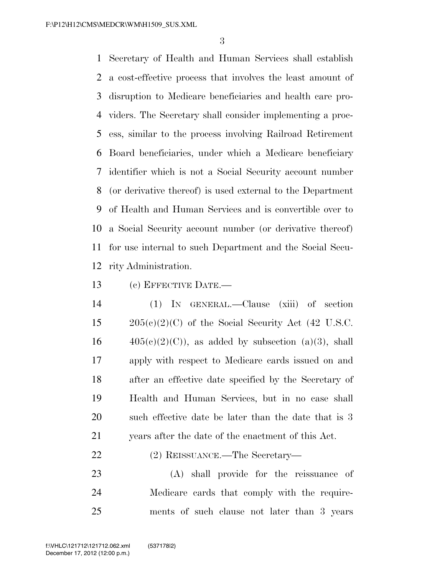Secretary of Health and Human Services shall establish a cost-effective process that involves the least amount of disruption to Medicare beneficiaries and health care pro- viders. The Secretary shall consider implementing a proc- ess, similar to the process involving Railroad Retirement Board beneficiaries, under which a Medicare beneficiary identifier which is not a Social Security account number (or derivative thereof) is used external to the Department of Health and Human Services and is convertible over to a Social Security account number (or derivative thereof) for use internal to such Department and the Social Secu-rity Administration.

(c) EFFECTIVE DATE.—

 (1) IN GENERAL.—Clause (xiii) of section  $205(e)(2)(C)$  of the Social Security Act (42 U.S.C.  $16 \qquad \qquad 405(e)(2)(C)$ , as added by subsection (a)(3), shall apply with respect to Medicare cards issued on and after an effective date specified by the Secretary of Health and Human Services, but in no case shall 20 such effective date be later than the date that is 3 years after the date of the enactment of this Act.

## (2) REISSUANCE.—The Secretary—

 (A) shall provide for the reissuance of Medicare cards that comply with the require-ments of such clause not later than 3 years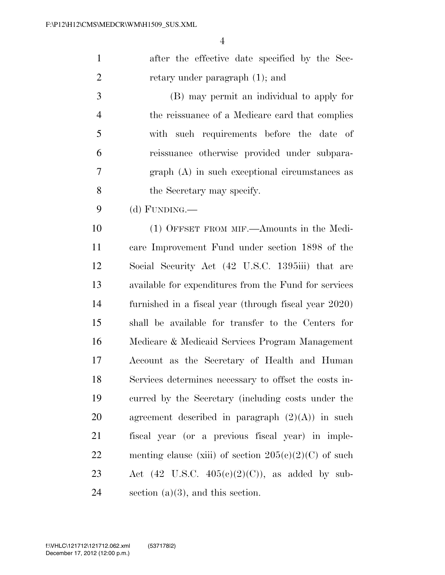after the effective date specified by the Sec-2 retary under paragraph (1); and

 (B) may permit an individual to apply for the reissuance of a Medicare card that complies with such requirements before the date of reissuance otherwise provided under subpara- graph (A) in such exceptional circumstances as the Secretary may specify.

(d) FUNDING.—

 (1) OFFSET FROM MIF.—Amounts in the Medi- care Improvement Fund under section 1898 of the Social Security Act (42 U.S.C. 1395iii) that are available for expenditures from the Fund for services furnished in a fiscal year (through fiscal year 2020) shall be available for transfer to the Centers for Medicare & Medicaid Services Program Management Account as the Secretary of Health and Human Services determines necessary to offset the costs in- curred by the Secretary (including costs under the 20 agreement described in paragraph  $(2)(A)$  in such fiscal year (or a previous fiscal year) in imple-22 menting clause (xiii) of section  $205(e)(2)(C)$  of such 23 Act (42 U.S.C.  $405(e)(2)(C)$ ), as added by sub-24 section  $(a)(3)$ , and this section.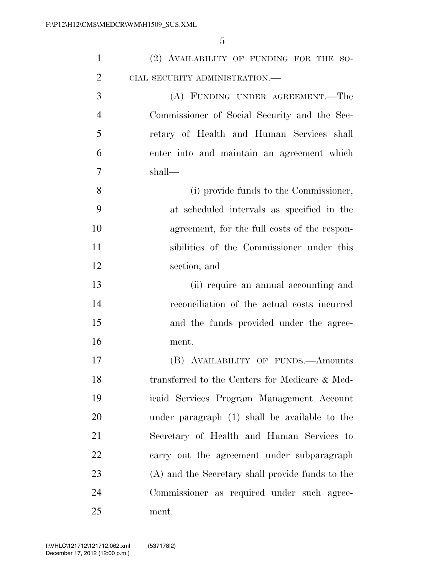| $\mathbf{1}$   | (2) AVAILABILITY OF FUNDING FOR THE SO-          |
|----------------|--------------------------------------------------|
| $\overline{2}$ | CIAL SECURITY ADMINISTRATION.—                   |
| 3              | (A) FUNDING UNDER AGREEMENT.—The                 |
| $\overline{4}$ | Commissioner of Social Security and the Sec-     |
| 5              | retary of Health and Human Services shall        |
| 6              | enter into and maintain an agreement which       |
| 7              | shall—                                           |
| 8              | (i) provide funds to the Commissioner,           |
| 9              | at scheduled intervals as specified in the       |
| 10             | agreement, for the full costs of the respon-     |
| 11             | sibilities of the Commissioner under this        |
| 12             | section; and                                     |
| 13             | (ii) require an annual accounting and            |
| 14             | reconciliation of the actual costs incurred      |
| 15             | and the funds provided under the agree-          |
| 16             | ment.                                            |
| 17             | (B) AVAILABILITY OF FUNDS. Amounts               |
| 18             | transferred to the Centers for Medicare & Med-   |
| 19             | icaid Services Program Management Account        |
| 20             | under paragraph (1) shall be available to the    |
| 21             | Secretary of Health and Human Services to        |
| 22             | carry out the agreement under subparagraph       |
| 23             | (A) and the Secretary shall provide funds to the |
| 24             | Commissioner as required under such agree-       |
| 25             | ment.                                            |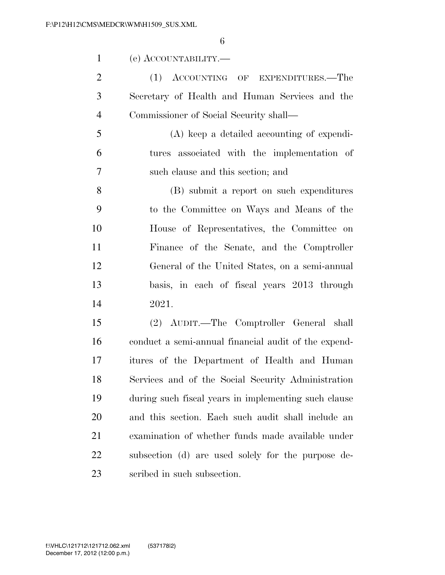| $(e)$ ACCOUNTABILITY.— |  |
|------------------------|--|
|------------------------|--|

2 (1) ACCOUNTING OF EXPENDITURES.—The Secretary of Health and Human Services and the Commissioner of Social Security shall—

 (A) keep a detailed accounting of expendi- tures associated with the implementation of such clause and this section; and

 (B) submit a report on such expenditures to the Committee on Ways and Means of the House of Representatives, the Committee on Finance of the Senate, and the Comptroller General of the United States, on a semi-annual basis, in each of fiscal years 2013 through 2021.

 (2) AUDIT.—The Comptroller General shall conduct a semi-annual financial audit of the expend- itures of the Department of Health and Human Services and of the Social Security Administration during such fiscal years in implementing such clause and this section. Each such audit shall include an examination of whether funds made available under subsection (d) are used solely for the purpose de-scribed in such subsection.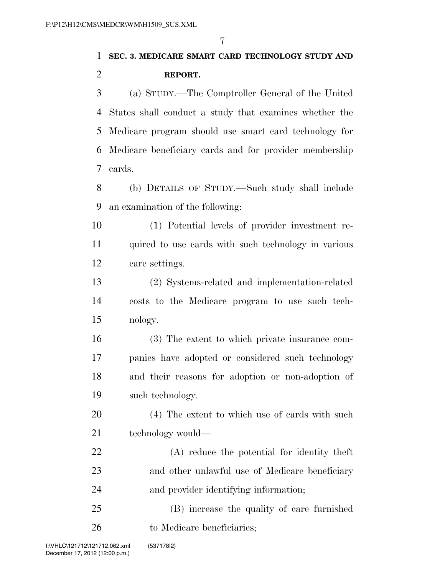# **SEC. 3. MEDICARE SMART CARD TECHNOLOGY STUDY AND REPORT.**

 (a) STUDY.—The Comptroller General of the United States shall conduct a study that examines whether the Medicare program should use smart card technology for Medicare beneficiary cards and for provider membership cards.

 (b) DETAILS OF STUDY.—Such study shall include an examination of the following:

 (1) Potential levels of provider investment re- quired to use cards with such technology in various care settings.

 (2) Systems-related and implementation-related costs to the Medicare program to use such tech-nology.

 (3) The extent to which private insurance com- panies have adopted or considered such technology and their reasons for adoption or non-adoption of such technology.

 (4) The extent to which use of cards with such 21 technology would—

 (A) reduce the potential for identity theft and other unlawful use of Medicare beneficiary and provider identifying information;

 (B) increase the quality of care furnished 26 to Medicare beneficiaries;